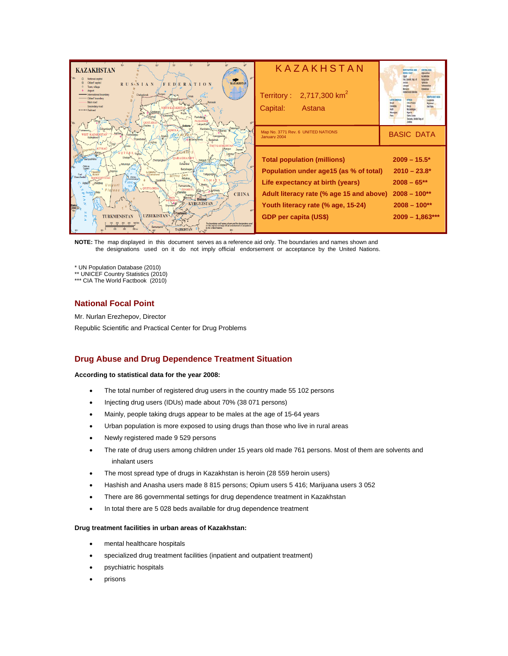| <b>ARO</b><br><b>KAZAKHSTAN</b><br>National capital<br>KAZAKHSTAN<br>RUS <sub>K</sub> 'S IAN<br>$F E D$ $E R A T I O N$<br>own, village<br>ternational boundary<br>Chelvabinsk<br>)blasť boundarv<br>Main mad<br>Karasuk<br>Secondary road<br>++++++ Railmad<br>"Kachiry<br>Kökshetaű<br>Rudmov<br>Paylodario<br><b>PAVLODAI</b><br><b>OOSTAN</b><br>Lebyazh've<br>Astana                                                                                                                                                                                                                                                                                                                                                                                                                                                                                                           | KAZAKHSTAN<br>Territory : $2,717,300$ km <sup>2</sup><br>Capital:<br>Astana                                                                                                                                                        | <b>BORTH AFRICA AND</b><br><b>CENTRAL AIS</b><br>1001111<br>I'm loang lies of<br>day Just Felcole<br><b>BOUTH-EAST ASS</b><br><b><i><u><b>The Choice</b></u></i></b><br><b>IM Ran</b><br>Gatta Leona<br>lasmoks (indust Ran.) |
|-------------------------------------------------------------------------------------------------------------------------------------------------------------------------------------------------------------------------------------------------------------------------------------------------------------------------------------------------------------------------------------------------------------------------------------------------------------------------------------------------------------------------------------------------------------------------------------------------------------------------------------------------------------------------------------------------------------------------------------------------------------------------------------------------------------------------------------------------------------------------------------|------------------------------------------------------------------------------------------------------------------------------------------------------------------------------------------------------------------------------------|-------------------------------------------------------------------------------------------------------------------------------------------------------------------------------------------------------------------------------|
| Kurchatov<br>Agtibe)<br><b>WEST KAZAKHSTAN</b><br><b>OKhromtau</b><br>Georgive<br>Oarabutao<br>Caraghandy<br>Bestama<br><b>EAST KAZAKHSTA!</b>                                                                                                                                                                                                                                                                                                                                                                                                                                                                                                                                                                                                                                                                                                                                      | Map No. 3771 Rev. 6 UNITED NATIONS<br>January 2004                                                                                                                                                                                 | <b>BASIC DATA</b>                                                                                                                                                                                                             |
| Zavsan<br>Avaguz<br><b>UPLANOS</b><br><b>OTÖBE</b><br>Yrdivz<br>Urdzhar<br>Shalgar<br><b>JARAGHAN</b><br><b>Sanzushkino</b><br>Zhezgazghar<br>Balgash<br><b>Dzhambul</b><br><b>Aktumsvk</b><br>Saryshagan<br>Beyne<br>e Balkonu<br>Taldyqorghan<br>Cognotrom<br><b>Buzachi</b><br>Shevchenko<br>BETPAQ DALA<br>Ostais<br><b>Akbakav</b><br><b>MANGGHYSTAL</b><br>Ovzylord<br><b>FARAL</b><br>Zhetybay<br><b>Ustivurt</b><br>Furmanovka<br><b>SEA</b><br><b>AN VOYZYLORDA</b><br><b>SZHAMRYI</b><br>Plateau app.<br>Almaty<br><b>CHINA</b><br><b>Stock Est</b><br>Bishkek<br><b>KYRGYZSTAN</b><br>Baku<br>(Baki)<br>- 40 <sup>3</sup><br>Tashkent-<br><b>UZBEKISTAN</b><br><b>TURKMENISTAN</b><br>The boundaries and names shown and the designations used<br>on this map do not imply official endotsement or exceptance<br>Samargand<br>by the United Nations<br><b>TAJIKISTAN</b> | <b>Total population (millions)</b><br>Population under age15 (as % of total)<br>Life expectancy at birth (years)<br>Adult literacy rate (% age 15 and above)<br>Youth literacy rate (% age, 15-24)<br><b>GDP</b> per capita (US\$) | $2009 - 15.5*$<br>$2010 - 23.8*$<br>$2008 - 65***$<br>$2008 - 100**$<br>$2008 - 100**$<br>$2009 - 1,863***$                                                                                                                   |

**NOTE:** The map displayed in this document serves as a reference aid only. The boundaries and names shown and the designations used on it do not imply official endorsement or acceptance by the United Nations.

\* UN Population Database (2010)

\*\* UNICEF Country Statistics (2010)

\*\*\* CIA The World Factbook (2010)

## **National Focal Point**

Mr. Nurlan Erezhepov, Director Republic Scientific and Practical Center for Drug Problems

## **Drug Abuse and Drug Dependence Treatment Situation**

#### **According to statistical data for the year 2008:**

- The total number of registered drug users in the country made 55 102 persons
- Injecting drug users (IDUs) made about 70% (38 071 persons)
- Mainly, people taking drugs appear to be males at the age of 15-64 years
- Urban population is more exposed to using drugs than those who live in rural areas
- Newly registered made 9 529 persons
- The rate of drug users among children under 15 years old made 761 persons. Most of them are solvents and inhalant users
- The most spread type of drugs in Kazakhstan is heroin (28 559 heroin users)
- Hashish and Anasha users made 8 815 persons; Opium users 5 416; Marijuana users 3 052
- There are 86 governmental settings for drug dependence treatment in Kazakhstan
- In total there are 5 028 beds available for drug dependence treatment

#### **Drug treatment facilities in urban areas of Kazakhstan:**

- mental healthcare hospitals
- specialized drug treatment facilities (inpatient and outpatient treatment)
- psychiatric hospitals
- prisons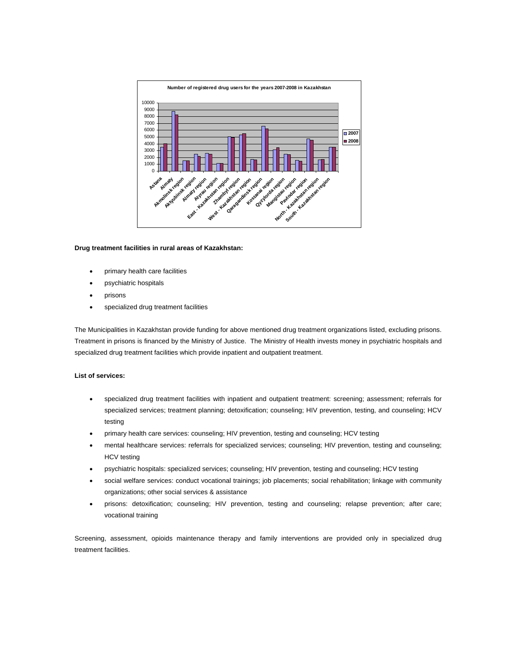

#### **Drug treatment facilities in rural areas of Kazakhstan:**

- primary health care facilities
- psychiatric hospitals
- prisons
- specialized drug treatment facilities

The Municipalities in Kazakhstan provide funding for above mentioned drug treatment organizations listed, excluding prisons. Treatment in prisons is financed by the Ministry of Justice. The Ministry of Health invests money in psychiatric hospitals and specialized drug treatment facilities which provide inpatient and outpatient treatment.

#### **List of services:**

- specialized drug treatment facilities with inpatient and outpatient treatment: screening; assessment; referrals for specialized services; treatment planning; detoxification; counseling; HIV prevention, testing, and counseling; HCV testing
- primary health care services: counseling; HIV prevention, testing and counseling; HCV testing
- mental healthcare services: referrals for specialized services; counseling; HIV prevention, testing and counseling; HCV testing
- psychiatric hospitals: specialized services; counseling; HIV prevention, testing and counseling; HCV testing
- social welfare services: conduct vocational trainings; job placements; social rehabilitation; linkage with community organizations; other social services & assistance
- prisons: detoxification; counseling; HIV prevention, testing and counseling; relapse prevention; after care; vocational training

Screening, assessment, opioids maintenance therapy and family interventions are provided only in specialized drug treatment facilities.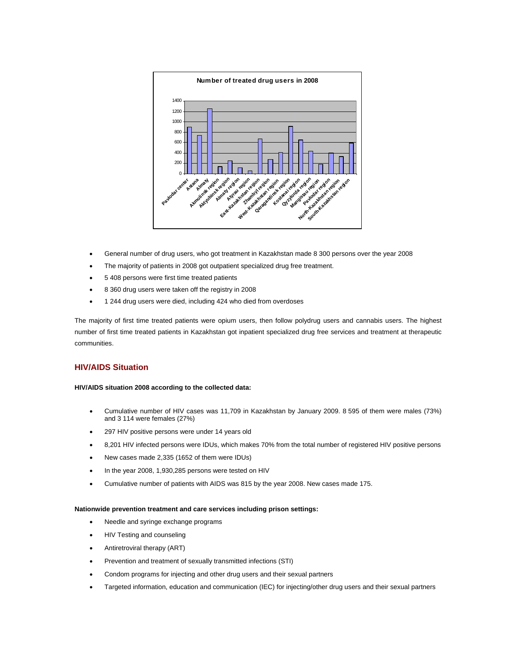

- General number of drug users, who got treatment in Kazakhstan made 8 300 persons over the year 2008
- The majority of patients in 2008 got outpatient specialized drug free treatment.
- 5 408 persons were first time treated patients
- 8 360 drug users were taken off the registry in 2008
- 1 244 drug users were died, including 424 who died from overdoses

The majority of first time treated patients were opium users, then follow polydrug users and cannabis users. The highest number of first time treated patients in Kazakhstan got inpatient specialized drug free services and treatment at therapeutic communities.

## **HIV/AIDS Situation**

### **HIV/AIDS situation 2008 according to the collected data:**

- Cumulative number of HIV cases was 11,709 in Kazakhstan by January 2009. 8 595 of them were males (73%) and 3 114 were females (27%)
- 297 HIV positive persons were under 14 years old
- 8,201 HIV infected persons were IDUs, which makes 70% from the total number of registered HIV positive persons
- New cases made 2,335 (1652 of them were IDUs)
- In the year 2008, 1,930,285 persons were tested on HIV
- Cumulative number of patients with AIDS was 815 by the year 2008. New cases made 175.

#### **Nationwide prevention treatment and care services including prison settings:**

- Needle and syringe exchange programs
- HIV Testing and counseling
- Antiretroviral therapy (ART)
- Prevention and treatment of sexually transmitted infections (STI)
- Condom programs for injecting and other drug users and their sexual partners
- Targeted information, education and communication (IEC) for injecting/other drug users and their sexual partners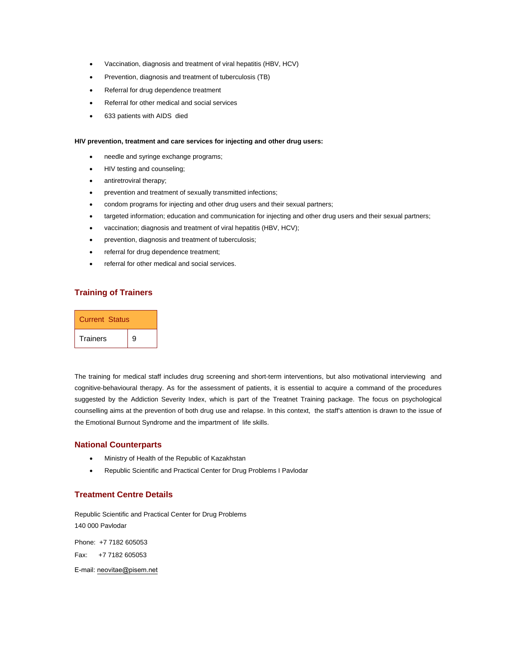- Vaccination, diagnosis and treatment of viral hepatitis (HBV, HCV)
- Prevention, diagnosis and treatment of tuberculosis (TB)
- Referral for drug dependence treatment
- Referral for other medical and social services
- 633 patients with AIDS died

#### **HIV prevention, treatment and care services for injecting and other drug users:**

- needle and syringe exchange programs;
- HIV testing and counseling;
- antiretroviral therapy;
- prevention and treatment of sexually transmitted infections;
- condom programs for injecting and other drug users and their sexual partners;
- targeted information; education and communication for injecting and other drug users and their sexual partners;
- vaccination; diagnosis and treatment of viral hepatitis (HBV, HCV);
- prevention, diagnosis and treatment of tuberculosis;
- referral for drug dependence treatment;
- referral for other medical and social services.

## **Training of Trainers**

| <b>Current Status</b> |   |  |
|-----------------------|---|--|
| <b>Trainers</b>       | 9 |  |

The training for medical staff includes drug screening and short-term interventions, but also motivational interviewing and cognitive-behavioural therapy. As for the assessment of patients, it is essential to acquire a command of the procedures suggested by the Addiction Severity Index, which is part of the Treatnet Training package. The focus on psychological counselling aims at the prevention of both drug use and relapse. In this context, the staff's attention is drawn to the issue of the Emotional Burnout Syndrome and the impartment of life skills.

#### **National Counterparts**

- Ministry of Health of the Republic of Kazakhstan
- Republic Scientific and Practical Center for Drug Problems I Pavlodar

## **Treatment Centre Details**

Republic Scientific and Practical Center for Drug Problems 140 000 Pavlodar

Phone: +7 7182 605053 Fax: +7 7182 605053

E-mail: neovitae@pisem.net